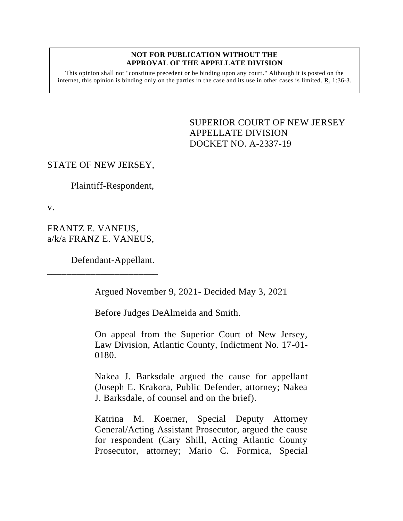#### **NOT FOR PUBLICATION WITHOUT THE APPROVAL OF THE APPELLATE DIVISION**

This opinion shall not "constitute precedent or be binding upon any court." Although it is posted on the internet, this opinion is binding only on the parties in the case and its use in other cases is limited.  $R_1$  1:36-3.

> <span id="page-0-0"></span>SUPERIOR COURT OF NEW JERSEY APPELLATE DIVISION DOCKET NO. A-2337-19

# STATE OF NEW JERSEY,

Plaintiff-Respondent,

v.

FRANTZ E. VANEUS, a/k/a FRANZ E. VANEUS,

\_\_\_\_\_\_\_\_\_\_\_\_\_\_\_\_\_\_\_\_\_\_\_

Defendant-Appellant.

Argued November 9, 2021- Decided May 3, 2021

Before Judges DeAlmeida and Smith.

On appeal from the Superior Court of New Jersey, Law Division, Atlantic County, Indictment No. 17-01- 0180.

Nakea J. Barksdale argued the cause for appellant (Joseph E. Krakora, Public Defender, attorney; Nakea J. Barksdale, of counsel and on the brief).

Katrina M. Koerner, Special Deputy Attorney General/Acting Assistant Prosecutor, argued the cause for respondent (Cary Shill, Acting Atlantic County Prosecutor, attorney; Mario C. Formica, Special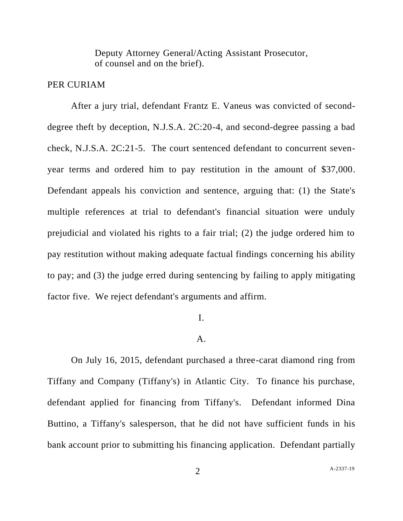Deputy Attorney General/Acting Assistant Prosecutor, of counsel and on the brief).

## PER CURIAM

After a jury trial, defendant Frantz E. Vaneus was convicted of seconddegree theft by deception, N.J.S.A. 2C:20-4, and second-degree passing a bad check, N.J.S.A. 2C:21-5. The court sentenced defendant to concurrent sevenyear terms and ordered him to pay restitution in the amount of \$37,000. Defendant appeals his conviction and sentence, arguing that: (1) the State's multiple references at trial to defendant's financial situation were unduly prejudicial and violated his rights to a fair trial; (2) the judge ordered him to pay restitution without making adequate factual findings concerning his ability to pay; and (3) the judge erred during sentencing by failing to apply mitigating factor five. We reject defendant's arguments and affirm.

### I.

## A.

On July 16, 2015, defendant purchased a three-carat diamond ring from Tiffany and Company (Tiffany's) in Atlantic City. To finance his purchase, defendant applied for financing from Tiffany's. Defendant informed Dina Buttino, a Tiffany's salesperson, that he did not have sufficient funds in his bank account prior to submitting his financing application. Defendant partially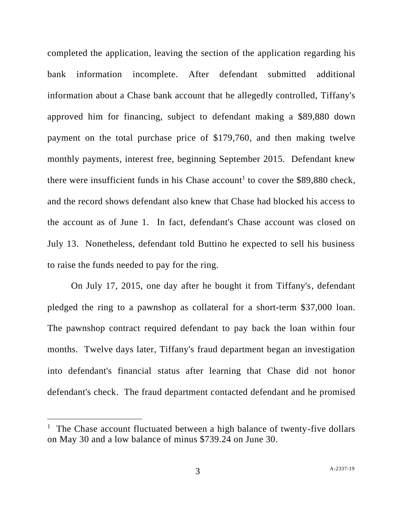completed the application, leaving the section of the application regarding his bank information incomplete. After defendant submitted additional information about a Chase bank account that he allegedly controlled, Tiffany's approved him for financing, subject to defendant making a \$89,880 down payment on the total purchase price of \$179,760, and then making twelve monthly payments, interest free, beginning September 2015. Defendant knew there were insufficient funds in his Chase account<sup>1</sup> to cover the \$89,880 check, and the record shows defendant also knew that Chase had blocked his access to the account as of June 1. In fact, defendant's Chase account was closed on July 13. Nonetheless, defendant told Buttino he expected to sell his business to raise the funds needed to pay for the ring.

On July 17, 2015, one day after he bought it from Tiffany's, defendant pledged the ring to a pawnshop as collateral for a short-term \$37,000 loan. The pawnshop contract required defendant to pay back the loan within four months. Twelve days later, Tiffany's fraud department began an investigation into defendant's financial status after learning that Chase did not honor defendant's check. The fraud department contacted defendant and he promised

<sup>&</sup>lt;sup>1</sup> The Chase account fluctuated between a high balance of twenty-five dollars on May 30 and a low balance of minus \$739.24 on June 30.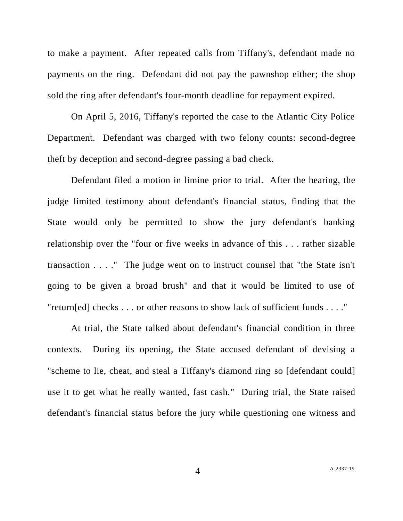to make a payment. After repeated calls from Tiffany's, defendant made no payments on the ring. Defendant did not pay the pawnshop either; the shop sold the ring after defendant's four-month deadline for repayment expired.

On April 5, 2016, Tiffany's reported the case to the Atlantic City Police Department. Defendant was charged with two felony counts: second-degree theft by deception and second-degree passing a bad check.

Defendant filed a motion in limine prior to trial. After the hearing, the judge limited testimony about defendant's financial status, finding that the State would only be permitted to show the jury defendant's banking relationship over the "four or five weeks in advance of this . . . rather sizable transaction . . . ." The judge went on to instruct counsel that "the State isn't going to be given a broad brush" and that it would be limited to use of "return[ed] checks . . . or other reasons to show lack of sufficient funds . . . ."

At trial, the State talked about defendant's financial condition in three contexts. During its opening, the State accused defendant of devising a "scheme to lie, cheat, and steal a Tiffany's diamond ring so [defendant could] use it to get what he really wanted, fast cash." During trial, the State raised defendant's financial status before the jury while questioning one witness and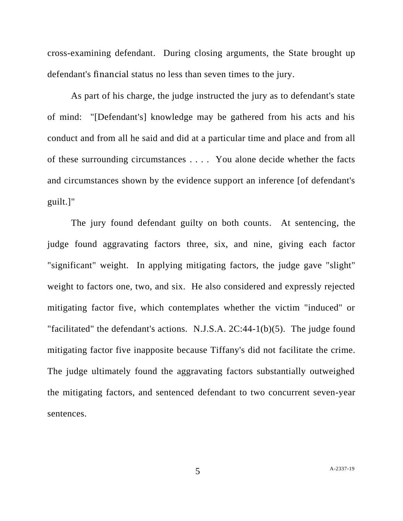cross-examining defendant. During closing arguments, the State brought up defendant's financial status no less than seven times to the jury.

As part of his charge, the judge instructed the jury as to defendant's state of mind: "[Defendant's] knowledge may be gathered from his acts and his conduct and from all he said and did at a particular time and place and from all of these surrounding circumstances . . . . You alone decide whether the facts and circumstances shown by the evidence support an inference [of defendant's guilt.]"

The jury found defendant guilty on both counts. At sentencing, the judge found aggravating factors three, six, and nine, giving each factor "significant" weight. In applying mitigating factors, the judge gave "slight" weight to factors one, two, and six. He also considered and expressly rejected mitigating factor five, which contemplates whether the victim "induced" or "facilitated" the defendant's actions. N.J.S.A. 2C:44-1(b)(5). The judge found mitigating factor five inapposite because Tiffany's did not facilitate the crime. The judge ultimately found the aggravating factors substantially outweighed the mitigating factors, and sentenced defendant to two concurrent seven-year sentences.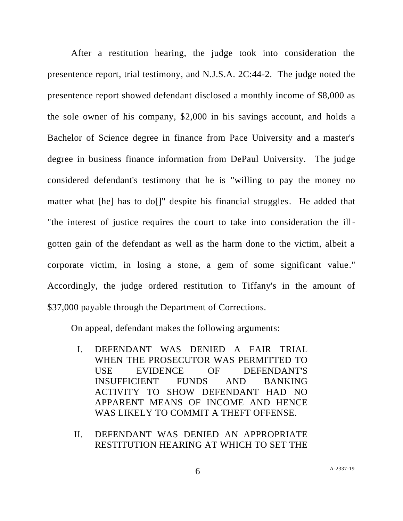After a restitution hearing, the judge took into consideration the presentence report, trial testimony, and N.J.S.A. 2C:44-2. The judge noted the presentence report showed defendant disclosed a monthly income of \$8,000 as the sole owner of his company, \$2,000 in his savings account, and holds a Bachelor of Science degree in finance from Pace University and a master's degree in business finance information from DePaul University. The judge considered defendant's testimony that he is "willing to pay the money no matter what [he] has to do[]" despite his financial struggles. He added that "the interest of justice requires the court to take into consideration the illgotten gain of the defendant as well as the harm done to the victim, albeit a corporate victim, in losing a stone, a gem of some significant value." Accordingly, the judge ordered restitution to Tiffany's in the amount of \$37,000 payable through the Department of Corrections.

On appeal, defendant makes the following arguments:

- I. DEFENDANT WAS DENIED A FAIR TRIAL WHEN THE PROSECUTOR WAS PERMITTED TO USE EVIDENCE OF DEFENDANT'S INSUFFICIENT FUNDS AND BANKING ACTIVITY TO SHOW DEFENDANT HAD NO APPARENT MEANS OF INCOME AND HENCE WAS LIKELY TO COMMIT A THEFT OFFENSE.
- II. DEFENDANT WAS DENIED AN APPROPRIATE RESTITUTION HEARING AT WHICH TO SET THE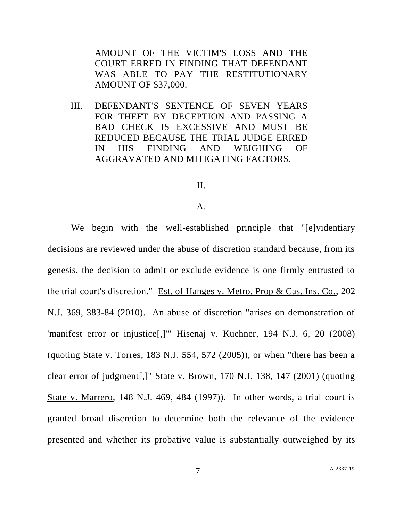AMOUNT OF THE VICTIM'S LOSS AND THE COURT ERRED IN FINDING THAT DEFENDANT WAS ABLE TO PAY THE RESTITUTIONARY AMOUNT OF \$37,000.

III. DEFENDANT'S SENTENCE OF SEVEN YEARS FOR THEFT BY DECEPTION AND PASSING A BAD CHECK IS EXCESSIVE AND MUST BE REDUCED BECAUSE THE TRIAL JUDGE ERRED IN HIS FINDING AND WEIGHING OF AGGRAVATED AND MITIGATING FACTORS.

# II.

#### A.

We begin with the well-established principle that "[e]videntiary decisions are reviewed under the abuse of discretion standard because, from its genesis, the decision to admit or exclude evidence is one firmly entrusted to the trial court's discretion." Est. of Hanges v. Metro. Prop & Cas. Ins. Co., 202 N.J. 369, 383-84 (2010). An abuse of discretion "arises on demonstration of 'manifest error or injustice[,]" Hisenaj v. Kuehner, 194 N.J. 6, 20 (2008) (quoting State v. Torres, 183 N.J. 554, 572  $(2005)$ ), or when "there has been a clear error of judgment[,]" State v. Brown, 170 N.J. 138, 147 (2001) (quoting State v. Marrero, 148 N.J. 469, 484 (1997)). In other words, a trial court is granted broad discretion to determine both the relevance of the evidence presented and whether its probative value is substantially outweighed by its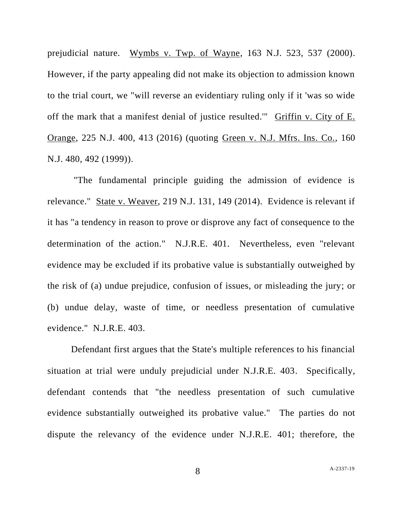prejudicial nature. Wymbs v. Twp. of Wayne, 163 N.J. 523, 537 (2000). However, if the party appealing did not make its objection to admission known to the trial court, we "will reverse an evidentiary ruling only if it 'was so wide off the mark that a manifest denial of justice resulted.'" Griffin v. City of E. Orange, 225 N.J. 400, 413 (2016) (quoting Green v. N.J. Mfrs. Ins. Co., 160 N.J. 480, 492 (1999)).

"The fundamental principle guiding the admission of evidence is relevance." State v. Weaver, 219 N.J. 131, 149 (2014). Evidence is relevant if it has "a tendency in reason to prove or disprove any fact of consequence to the determination of the action." N.J.R.E. 401. Nevertheless, even "relevant evidence may be excluded if its probative value is substantially outweighed by the risk of (a) undue prejudice, confusion of issues, or misleading the jury; or (b) undue delay, waste of time, or needless presentation of cumulative evidence." N.J.R.E. 403.

Defendant first argues that the State's multiple references to his financial situation at trial were unduly prejudicial under N.J.R.E. 403. Specifically, defendant contends that "the needless presentation of such cumulative evidence substantially outweighed its probative value." The parties do not dispute the relevancy of the evidence under N.J.R.E. 401; therefore, the

8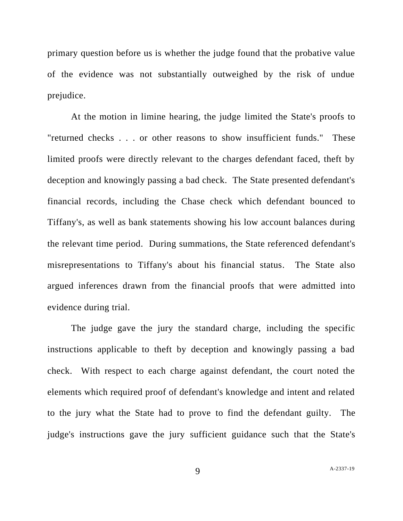primary question before us is whether the judge found that the probative value of the evidence was not substantially outweighed by the risk of undue prejudice.

At the motion in limine hearing, the judge limited the State's proofs to "returned checks . . . or other reasons to show insufficient funds." These limited proofs were directly relevant to the charges defendant faced, theft by deception and knowingly passing a bad check. The State presented defendant's financial records, including the Chase check which defendant bounced to Tiffany's, as well as bank statements showing his low account balances during the relevant time period. During summations, the State referenced defendant's misrepresentations to Tiffany's about his financial status. The State also argued inferences drawn from the financial proofs that were admitted into evidence during trial.

The judge gave the jury the standard charge, including the specific instructions applicable to theft by deception and knowingly passing a bad check. With respect to each charge against defendant, the court noted the elements which required proof of defendant's knowledge and intent and related to the jury what the State had to prove to find the defendant guilty. The judge's instructions gave the jury sufficient guidance such that the State's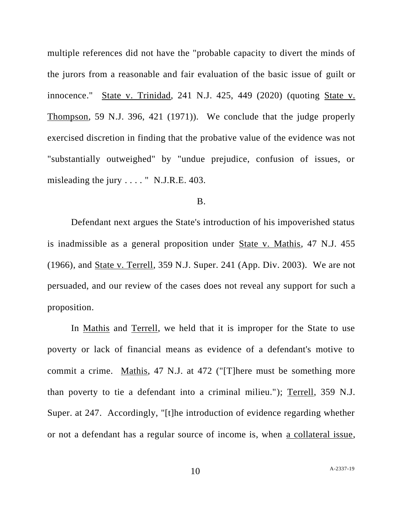multiple references did not have the "probable capacity to divert the minds of the jurors from a reasonable and fair evaluation of the basic issue of guilt or innocence." State v. Trinidad, 241 N.J. 425, 449 (2020) (quoting State v. Thompson, 59 N.J. 396, 421 (1971)). We conclude that the judge properly exercised discretion in finding that the probative value of the evidence was not "substantially outweighed" by "undue prejudice, confusion of issues, or misleading the jury . . . . " N.J.R.E. 403.

### B.

Defendant next argues the State's introduction of his impoverished status is inadmissible as a general proposition under State v. Mathis, 47 N.J. 455 (1966), and State v. Terrell, 359 N.J. Super. 241 (App. Div. 2003). We are not persuaded, and our review of the cases does not reveal any support for such a proposition.

In <u>Mathis</u> and Terrell, we held that it is improper for the State to use poverty or lack of financial means as evidence of a defendant's motive to commit a crime. Mathis, 47 N.J. at 472 ("[T]here must be something more than poverty to tie a defendant into a criminal milieu."); Terrell, 359 N.J. Super. at 247. Accordingly, "[t]he introduction of evidence regarding whether or not a defendant has a regular source of income is, when a collateral issue,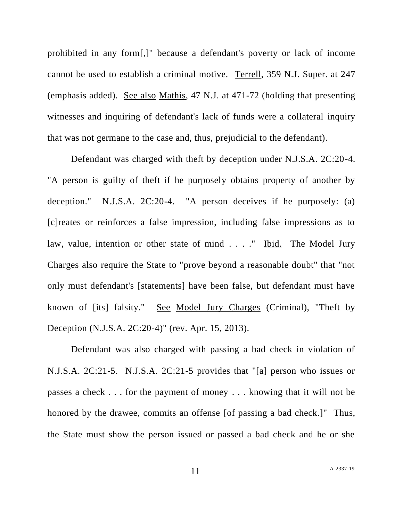prohibited in any form[,]" because a defendant's poverty or lack of income cannot be used to establish a criminal motive. Terrell, 359 N.J. Super. at 247 (emphasis added). See also Mathis, 47 N.J. at 471-72 (holding that presenting witnesses and inquiring of defendant's lack of funds were a collateral inquiry that was not germane to the case and, thus, prejudicial to the defendant).

Defendant was charged with theft by deception under N.J.S.A. 2C:20-4. "A person is guilty of theft if he purposely obtains property of another by deception." N.J.S.A. 2C:20-4. "A person deceives if he purposely: (a) [c]reates or reinforces a false impression, including false impressions as to law, value, intention or other state of mind . . . ." Ibid. The Model Jury Charges also require the State to "prove beyond a reasonable doubt" that "not only must defendant's [statements] have been false, but defendant must have known of [its] falsity." See Model Jury Charges (Criminal), "Theft by Deception (N.J.S.A. 2C:20-4)" (rev. Apr. 15, 2013).

Defendant was also charged with passing a bad check in violation of N.J.S.A. 2C:21-5. N.J.S.A. 2C:21-5 provides that "[a] person who issues or passes a check . . . for the payment of money . . . knowing that it will not be honored by the drawee, commits an offense [of passing a bad check.]" Thus, the State must show the person issued or passed a bad check and he or she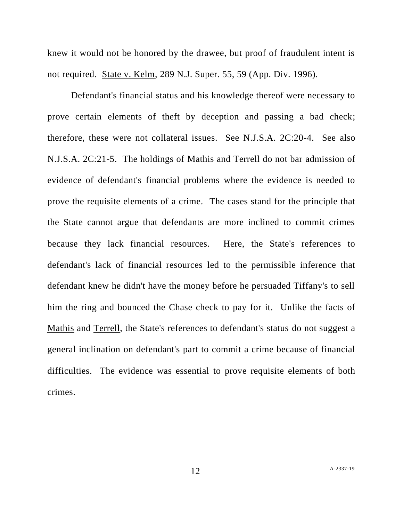knew it would not be honored by the drawee, but proof of fraudulent intent is not required. State v. Kelm, 289 N.J. Super. 55, 59 (App. Div. 1996).

Defendant's financial status and his knowledge thereof were necessary to prove certain elements of theft by deception and passing a bad check; therefore, these were not collateral issues. See N.J.S.A. 2C:20-4. See also N.J.S.A. 2C:21-5. The holdings of Mathis and Terrell do not bar admission of evidence of defendant's financial problems where the evidence is needed to prove the requisite elements of a crime. The cases stand for the principle that the State cannot argue that defendants are more inclined to commit crimes because they lack financial resources. Here, the State's references to defendant's lack of financial resources led to the permissible inference that defendant knew he didn't have the money before he persuaded Tiffany's to sell him the ring and bounced the Chase check to pay for it. Unlike the facts of Mathis and Terrell, the State's references to defendant's status do not suggest a general inclination on defendant's part to commit a crime because of financial difficulties. The evidence was essential to prove requisite elements of both crimes.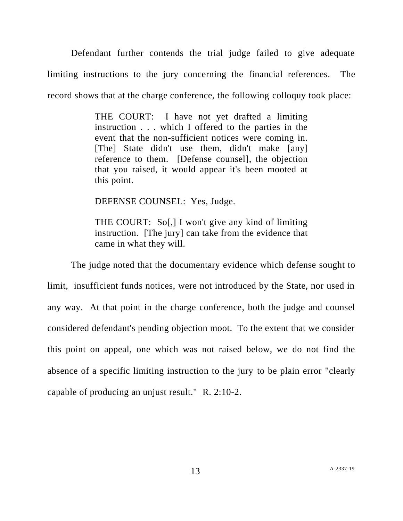Defendant further contends the trial judge failed to give adequate limiting instructions to the jury concerning the financial references. The record shows that at the charge conference, the following colloquy took place:

> THE COURT: I have not yet drafted a limiting instruction . . . which I offered to the parties in the event that the non-sufficient notices were coming in. [The] State didn't use them, didn't make [any] reference to them. [Defense counsel], the objection that you raised, it would appear it's been mooted at this point.

DEFENSE COUNSEL: Yes, Judge.

THE COURT: So[,] I won't give any kind of limiting instruction. [The jury] can take from the evidence that came in what they will.

The judge noted that the documentary evidence which defense sought to limit, insufficient funds notices, were not introduced by the State, nor used in any way. At that point in the charge conference, both the judge and counsel considered defendant's pending objection moot. To the extent that we consider this point on appeal, one which was not raised below, we do not find the absence of a specific limiting instruction to the jury to be plain error "clearly capable of producing an unjust result." R. 2:10-2.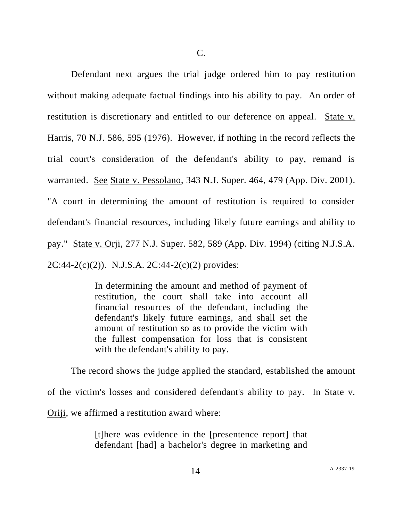Defendant next argues the trial judge ordered him to pay restitution without making adequate factual findings into his ability to pay. An order of restitution is discretionary and entitled to our deference on appeal. State v. Harris, 70 N.J. 586, 595 (1976). However, if nothing in the record reflects the trial court's consideration of the defendant's ability to pay, remand is warranted. See State v. Pessolano, 343 N.J. Super. 464, 479 (App. Div. 2001). "A court in determining the amount of restitution is required to consider defendant's financial resources, including likely future earnings and ability to pay." State v. Orji, 277 N.J. Super. 582, 589 (App. Div. 1994) (citing N.J.S.A.  $2C:44-2(c)(2)$ ). N.J.S.A.  $2C:44-2(c)(2)$  provides:

> In determining the amount and method of payment of restitution, the court shall take into account all financial resources of the defendant, including the defendant's likely future earnings, and shall set the amount of restitution so as to provide the victim with the fullest compensation for loss that is consistent with the defendant's ability to pay.

The record shows the judge applied the standard, established the amount of the victim's losses and considered defendant's ability to pay. In State v. Oriji, we affirmed a restitution award where:

> [t]here was evidence in the [presentence report] that defendant [had] a bachelor's degree in marketing and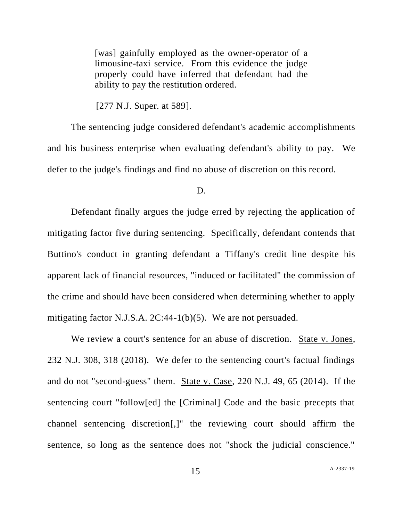[was] gainfully employed as the owner-operator of a limousine-taxi service. From this evidence the judge properly could have inferred that defendant had the ability to pay the restitution ordered.

[277 N.J. Super. at 589].

The sentencing judge considered defendant's academic accomplishments and his business enterprise when evaluating defendant's ability to pay. We defer to the judge's findings and find no abuse of discretion on this record.

#### D.

Defendant finally argues the judge erred by rejecting the application of mitigating factor five during sentencing. Specifically, defendant contends that Buttino's conduct in granting defendant a Tiffany's credit line despite his apparent lack of financial resources, "induced or facilitated" the commission of the crime and should have been considered when determining whether to apply mitigating factor N.J.S.A. 2C:44-1(b)(5). We are not persuaded.

We review a court's sentence for an abuse of discretion. State v. Jones, 232 N.J. 308, 318 (2018). We defer to the sentencing court's factual findings and do not "second-guess" them. State v. Case, 220 N.J. 49, 65 (2014). If the sentencing court "follow[ed] the [Criminal] Code and the basic precepts that channel sentencing discretion[,]" the reviewing court should affirm the sentence, so long as the sentence does not "shock the judicial conscience."

15 A[-2337-19](#page-0-0)